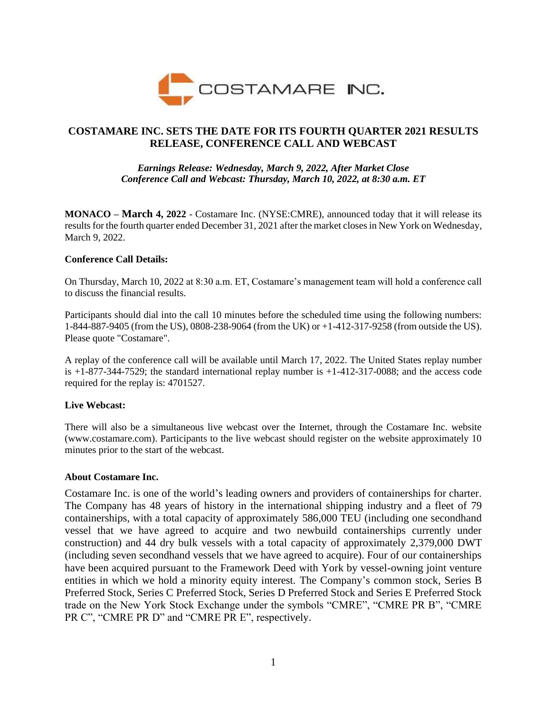

# **COSTAMARE INC. SETS THE DATE FOR ITS FOURTH QUARTER 2021 RESULTS RELEASE, CONFERENCE CALL AND WEBCAST**

## *Earnings Release: Wednesday, March 9, 2022, After Market Close Conference Call and Webcast: Thursday, March 10, 2022, at 8:30 a.m. ET*

**MONACO – March 4, 2022** - Costamare Inc. (NYSE:CMRE), announced today that it will release its results for the fourth quarter ended December 31, 2021 after the market closes in New York on Wednesday, March 9, 2022.

## **Conference Call Details:**

On Thursday, March 10, 2022 at 8:30 a.m. ET, Costamare's management team will hold a conference call to discuss the financial results.

Participants should dial into the call 10 minutes before the scheduled time using the following numbers: 1-844-887-9405 (from the US), 0808-238-9064 (from the UK) or +1-412-317-9258 (from outside the US). Please quote "Costamare".

A replay of the conference call will be available until March 17, 2022. The United States replay number is  $+1-877-344-7529$ ; the standard international replay number is  $+1-412-317-0088$ ; and the access code required for the replay is: 4701527.

## **Live Webcast:**

There will also be a simultaneous live webcast over the Internet, through the Costamare Inc. website (www.costamare.com). Participants to the live webcast should register on the website approximately 10 minutes prior to the start of the webcast.

#### **About Costamare Inc.**

Costamare Inc. is one of the world's leading owners and providers of containerships for charter. The Company has 48 years of history in the international shipping industry and a fleet of 79 containerships, with a total capacity of approximately 586,000 TEU (including one secondhand vessel that we have agreed to acquire and two newbuild containerships currently under construction) and 44 dry bulk vessels with a total capacity of approximately 2,379,000 DWT (including seven secondhand vessels that we have agreed to acquire). Four of our containerships have been acquired pursuant to the Framework Deed with York by vessel-owning joint venture entities in which we hold a minority equity interest. The Company's common stock, Series B Preferred Stock, Series C Preferred Stock, Series D Preferred Stock and Series E Preferred Stock trade on the New York Stock Exchange under the symbols "CMRE", "CMRE PR B", "CMRE PR C", "CMRE PR D" and "CMRE PR E", respectively.